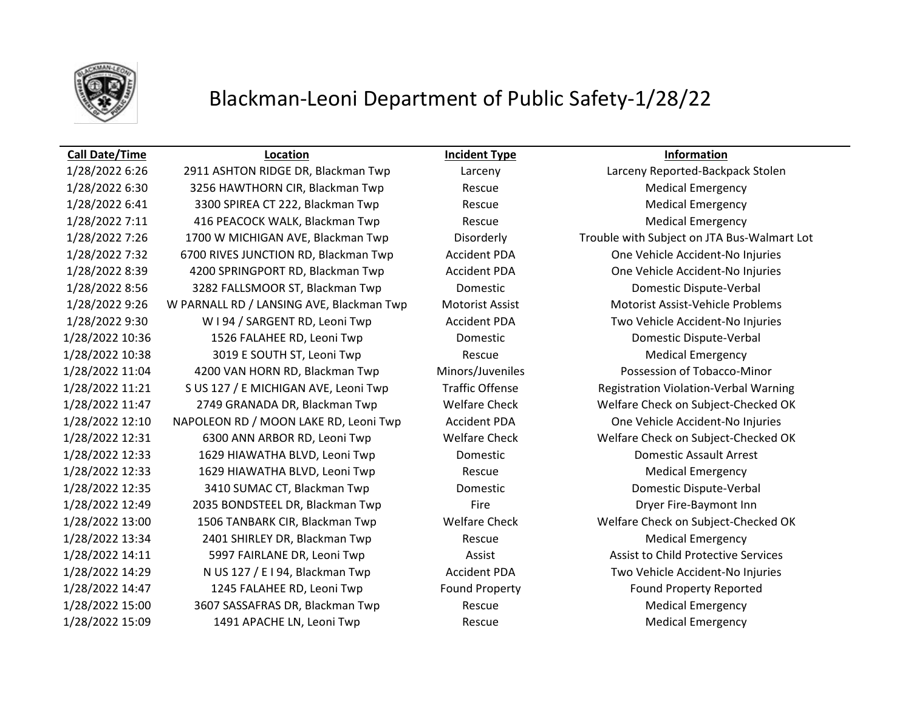

## Blackman-Leoni Department of Public Safety-1/28/22

### **Call Date/Time Location Incident Type Information**

1/28/2022 6:30 3256 HAWTHORN CIR, Blackman Twp Rescue Medical Emergency 1/28/2022 6:41 3300 SPIREA CT 222, Blackman Twp Rescue Rescue Medical Emergency 1/28/2022 7:11 416 PEACOCK WALK, Blackman Twp Rescue Medical Emergency 1/28/2022 7:32 6700 RIVES JUNCTION RD, Blackman Twp Accident PDA One Vehicle Accident-No Injuries 1/28/2022 8:39 4200 SPRINGPORT RD, Blackman Twp Accident PDA One Vehicle Accident-No Injuries 1/28/2022 8:56 3282 FALLSMOOR ST, Blackman Twp Domestic Domestic Dispute-Verbal 1/28/2022 9:26 W PARNALL RD / LANSING AVE, Blackman Twp Motorist Assist Motorist Assist-Vehicle Problems 1/28/2022 9:30 W I 94 / SARGENT RD, Leoni Twp Accident PDA Two Vehicle Accident-No Injuries 1/28/2022 10:36 1526 FALAHEE RD, Leoni Twp Domestic Domestic Dispute-Verbal 1/28/2022 10:38 3019 E SOUTH ST, Leoni Twp Rescue Rescue Medical Emergency 1/28/2022 11:04 4200 VAN HORN RD, Blackman Twp Minors/Juveniles Possession of Tobacco-Minor 1/28/2022 11:21 S US 127 / E MICHIGAN AVE, Leoni Twp Traffic Offense Registration Violation-Verbal Warning 1/28/2022 11:47 2749 GRANADA DR, Blackman Twp Welfare Check Welfare Check on Subject-Checked OK 1/28/2022 12:10 NAPOLEON RD / MOON LAKE RD, Leoni Twp Accident PDA One Vehicle Accident-No Injuries 1/28/2022 12:31 6300 ANN ARBOR RD, Leoni Twp Welfare Check Welfare Check on Subject-Checked OK 1/28/2022 12:33 1629 HIAWATHA BLVD, Leoni Twp Domestic Domestic Assault Arrest 1/28/2022 12:33 1629 HIAWATHA BLVD, Leoni Twp Rescue Rescue Medical Emergency 1/28/2022 12:35 3410 SUMAC CT, Blackman Twp Domestic Domestic Dispute-Verbal 1/28/2022 12:49 2035 BONDSTEEL DR, Blackman Twp Fire Dryer Fire-Baymont Inn 1/28/2022 13:00 1506 TANBARK CIR, Blackman Twp Welfare Check Welfare Check on Subject-Checked OK 1/28/2022 13:34 2401 SHIRLEY DR, Blackman Twp Rescue Rescue Medical Emergency 1/28/2022 14:11 5997 FAIRLANE DR, Leoni Twp Assist Assist to Child Protective Services 1/28/2022 14:29 N US 127 / E I 94, Blackman Twp Accident PDA Two Vehicle Accident-No Injuries 1/28/2022 14:47 1245 FALAHEE RD, Leoni Twp Found Property Found Property Reported 1/28/2022 15:00 3607 SASSAFRAS DR, Blackman Twp Rescue Rescue Medical Emergency 1/28/2022 15:09 1491 APACHE LN, Leoni Twp Rescue Rescue Medical Emergency

1/28/2022 6:26 2911 ASHTON RIDGE DR, Blackman Twp Larceny Larceny Reported-Backpack Stolen 1/28/2022 7:26 1700 W MICHIGAN AVE, Blackman Twp Disorderly Trouble with Subject on JTA Bus-Walmart Lot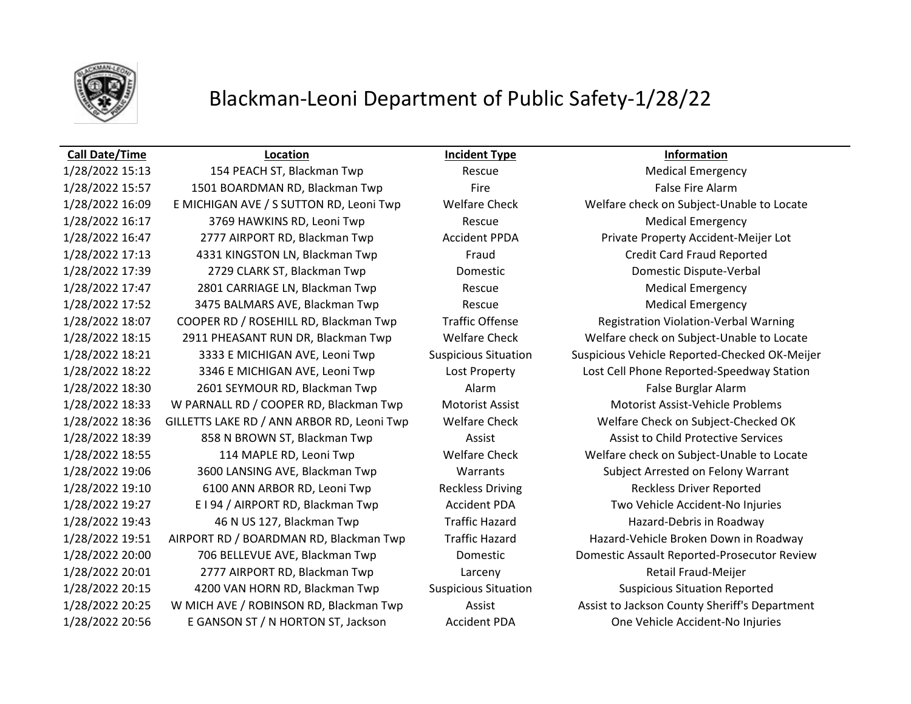

# Blackman-Leoni Department of Public Safety-1/28/22

### **Call Date/Time Location Incident Type Information**

1/28/2022 15:13 154 PEACH ST, Blackman Twp Rescue Medical Emergency 1/28/2022 15:57 1501 BOARDMAN RD, Blackman Twp Fire Fire False Fire Alarm 1/28/2022 16:09 E MICHIGAN AVE / S SUTTON RD, Leoni Twp Welfare Check Welfare check on Subject-Unable to Locate 1/28/2022 16:17 3769 HAWKINS RD, Leoni Twp Rescue Medical Emergency 1/28/2022 16:47 2777 AIRPORT RD, Blackman Twp Accident PPDA Private Property Accident-Meijer Lot 1/28/2022 17:13 4331 KINGSTON LN, Blackman Twp Fraud Credit Card Fraud Reported 1/28/2022 17:39 2729 CLARK ST, Blackman Twp Domestic Domestic Dispute-Verbal 1/28/2022 17:47 2801 CARRIAGE LN, Blackman Twp Rescue Medical Emergency 1/28/2022 17:52 3475 BALMARS AVE, Blackman Twp Rescue Medical Emergency 1/28/2022 18:07 COOPER RD / ROSEHILL RD, Blackman Twp Traffic Offense Registration Violation-Verbal Warning 1/28/2022 18:15 2911 PHEASANT RUN DR, Blackman Twp Welfare Check Welfare check on Subject-Unable to Locate 1/28/2022 18:22 3346 E MICHIGAN AVE, Leoni Twp Lost Property Lost Cell Phone Reported-Speedway Station 1/28/2022 18:30 2601 SEYMOUR RD, Blackman Twp Alarm Alarm Alarm False Burglar Alarm 1/28/2022 18:33 W PARNALL RD / COOPER RD, Blackman Twp Motorist Assist Motorist Assist-Vehicle Problems 1/28/2022 18:36 GILLETTS LAKE RD / ANN ARBOR RD, Leoni Twp Welfare Check Welfare Check on Subject-Checked OK 1/28/2022 18:39 858 N BROWN ST, Blackman Twp **Assist Assist Assist to Child Protective Services** 1/28/2022 18:55 114 MAPLE RD, Leoni Twp Welfare Check Welfare check on Subject-Unable to Locate 1/28/2022 19:06 3600 LANSING AVE, Blackman Twp Warrants Subject Arrested on Felony Warrant 1/28/2022 19:10 6100 ANN ARBOR RD, Leoni Twp Reckless Driving Reckless Driver Reported 1/28/2022 19:27 E I 94 / AIRPORT RD, Blackman Twp Accident PDA Two Vehicle Accident-No Injuries 1/28/2022 19:43 46 N US 127, Blackman Twp Traffic Hazard Hazard-Debris in Roadway 1/28/2022 19:51 AIRPORT RD / BOARDMAN RD, Blackman Twp Traffic Hazard Hazard-Vehicle Broken Down in Roadway 1/28/2022 20:01 2777 AIRPORT RD, Blackman Twp Larceny Retail Fraud-Meijer 1/28/2022 20:15 4200 VAN HORN RD, Blackman Twp Suspicious Situation Suspicious Situation Reported 1/28/2022 20:56 E GANSON ST / N HORTON ST, Jackson Accident PDA One Vehicle Accident-No Injuries

1/28/2022 18:21 3333 E MICHIGAN AVE, Leoni Twp Suspicious Situation Suspicious Vehicle Reported-Checked OK-Meijer 1/28/2022 20:00 706 BELLEVUE AVE, Blackman Twp Domestic Domestic Assault Reported-Prosecutor Review 1/28/2022 20:25 W MICH AVE / ROBINSON RD, Blackman Twp Assist Assist Assist Assist to Jackson County Sheriff's Department